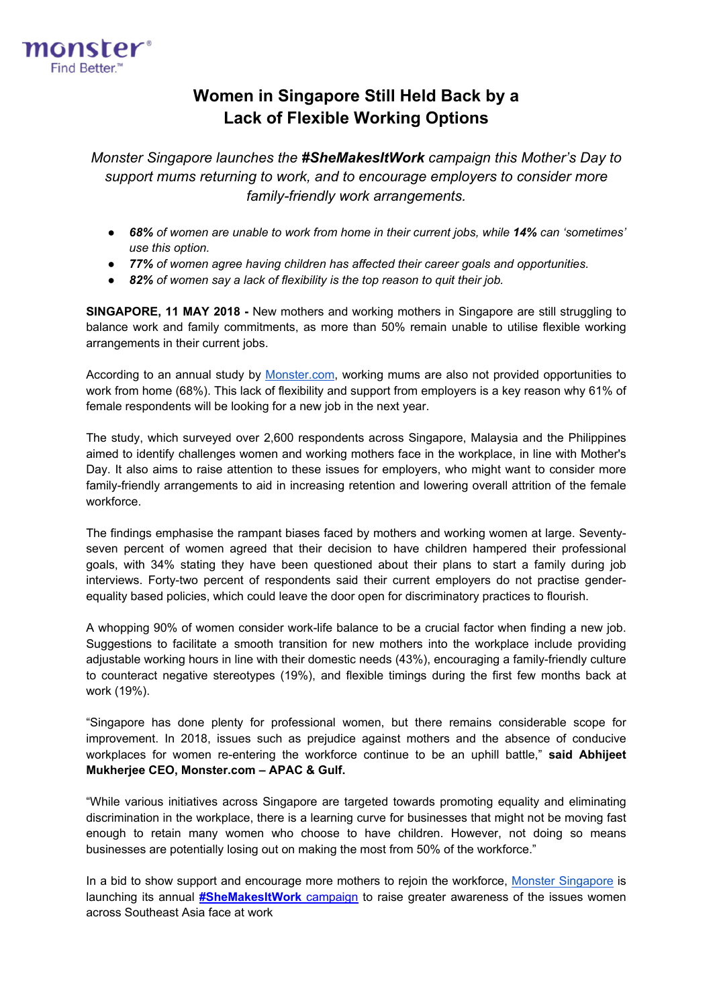

# **Women in Singapore Still Held Back by a Lack of Flexible Working Options**

*Monster Singapore launches the #SheMakesItWork campaign this Mother's Day to support mums returning to work, and to encourage employers to consider more family-friendly work arrangements.*

- **•** 68% of women are unable to work from home in their current jobs, while 14% can 'sometimes' *use this option.*
- *77% of women agree having children has affected their career goals and opportunities.*
- *82% of women say a lack of flexibility is the top reason to quit their job.*

**SINGAPORE, 11 MAY 2018 -** New mothers and working mothers in Singapore are still struggling to balance work and family commitments, as more than 50% remain unable to utilise flexible working arrangements in their current jobs.

According to an annual study by [Monster.com,](http://www.monster.com.sg/) working mums are also not provided opportunities to work from home (68%). This lack of flexibility and support from employers is a key reason why 61% of female respondents will be looking for a new job in the next year.

The study, which surveyed over 2,600 respondents across Singapore, Malaysia and the Philippines aimed to identify challenges women and working mothers face in the workplace, in line with Mother's Day. It also aims to raise attention to these issues for employers, who might want to consider more family-friendly arrangements to aid in increasing retention and lowering overall attrition of the female workforce.

The findings emphasise the rampant biases faced by mothers and working women at large. Seventyseven percent of women agreed that their decision to have children hampered their professional goals, with 34% stating they have been questioned about their plans to start a family during job interviews. Forty-two percent of respondents said their current employers do not practise genderequality based policies, which could leave the door open for discriminatory practices to flourish.

A whopping 90% of women consider work-life balance to be a crucial factor when finding a new job. Suggestions to facilitate a smooth transition for new mothers into the workplace include providing adjustable working hours in line with their domestic needs (43%), encouraging a family-friendly culture to counteract negative stereotypes (19%), and flexible timings during the first few months back at work (19%).

"Singapore has done plenty for professional women, but there remains considerable scope for improvement. In 2018, issues such as prejudice against mothers and the absence of conducive workplaces for women re-entering the workforce continue to be an uphill battle," **said Abhijeet Mukherjee CEO, Monster.com – APAC & Gulf.**

"While various initiatives across Singapore are targeted towards promoting equality and eliminating discrimination in the workplace, there is a learning curve for businesses that might not be moving fast enough to retain many women who choose to have children. However, not doing so means businesses are potentially losing out on making the most from 50% of the workforce."

In a bid to show support and encourage more mothers to rejoin the workforce, [Monster Singapore](http://www.monster.com.sg/) is launching its annual **[#SheMakesItWork](http://content.monster.com.sg/shemakesitwork-campaign-2018-7612.html?spl=SG_Contmar_SMIW2018_SMIW_PressRelease_SG&WT.mc_n=olm_sk_social_SMIW_PressRelease_SG_SG_Contmar)** campaign to raise greater awareness of the issues women across Southeast Asia face at work